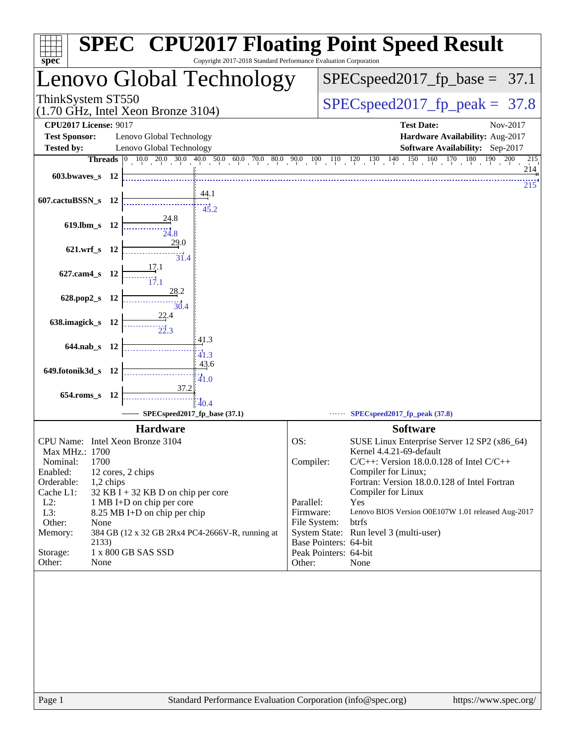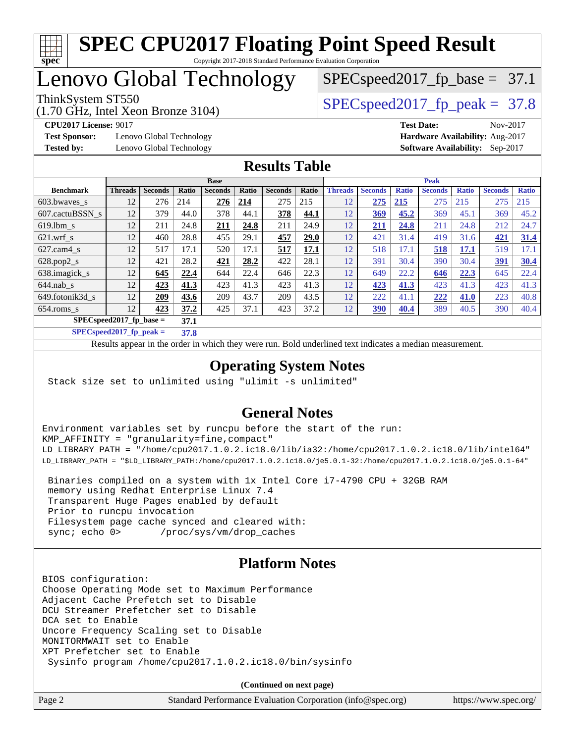

### Lenovo Global Technology

(1.70 GHz, Intel Xeon Bronze 3104)

ThinkSystem ST550  $SPEC speed2017$  fp\_peak = 37.8

 $SPECspeed2017_fp\_base = 37.1$ 

**[Test Sponsor:](http://www.spec.org/auto/cpu2017/Docs/result-fields.html#TestSponsor)** Lenovo Global Technology **[Hardware Availability:](http://www.spec.org/auto/cpu2017/Docs/result-fields.html#HardwareAvailability)** Aug-2017

**[CPU2017 License:](http://www.spec.org/auto/cpu2017/Docs/result-fields.html#CPU2017License)** 9017 **[Test Date:](http://www.spec.org/auto/cpu2017/Docs/result-fields.html#TestDate)** Nov-2017 **[Tested by:](http://www.spec.org/auto/cpu2017/Docs/result-fields.html#Testedby)** Lenovo Global Technology **[Software Availability:](http://www.spec.org/auto/cpu2017/Docs/result-fields.html#SoftwareAvailability)** Sep-2017

#### **[Results Table](http://www.spec.org/auto/cpu2017/Docs/result-fields.html#ResultsTable)**

|                            | <b>Base</b>    |                |       |                |       |                | <b>Peak</b> |                |                |              |                |              |                |              |
|----------------------------|----------------|----------------|-------|----------------|-------|----------------|-------------|----------------|----------------|--------------|----------------|--------------|----------------|--------------|
| <b>Benchmark</b>           | <b>Threads</b> | <b>Seconds</b> | Ratio | <b>Seconds</b> | Ratio | <b>Seconds</b> | Ratio       | <b>Threads</b> | <b>Seconds</b> | <b>Ratio</b> | <b>Seconds</b> | <b>Ratio</b> | <b>Seconds</b> | <b>Ratio</b> |
| 603.bwayes_s               | 12             | 276            | 214   | 276            | 214   | 275            | 215         | 12             | 275            | 215          | 275            | 215          | 275            | 215          |
| 607.cactuBSSN s            | 12             | 379            | 44.0  | 378            | 44.1  | 378            | 44.1        | 12             | 369            | 45.2         | 369            | 45.1         | 369            | 45.2         |
| $619.$ lbm s               | 12             | 211            | 24.8  | 211            | 24.8  | 211            | 24.9        | 12             | 211            | 24.8         | 211            | 24.8         | 212            | 24.7         |
| $621$ .wrf s               | 12             | 460            | 28.8  | 455            | 29.1  | 457            | 29.0        | 12             | 421            | 31.4         | 419            | 31.6         | 421            | 31.4         |
| $627$ .cam $4 \text{ s}$   | 12             | 517            | 17.1  | 520            | 17.1  | 517            | 17.1        | 12             | 518            | 17.1         | 518            | 17.1         | 519            | 17.1         |
| $628.pop2_s$               | 12             | 421            | 28.2  | 421            | 28.2  | 422            | 28.1        | 12             | 391            | 30.4         | 390            | 30.4         | 391            | 30.4         |
| 638.imagick_s              | 12             | 645            | 22.4  | 644            | 22.4  | 646            | 22.3        | 12             | 649            | 22.2         | 646            | 22.3         | 645            | 22.4         |
| $644$ .nab s               | 12             | 423            | 41.3  | 423            | 41.3  | 423            | 41.3        | 12             | 423            | 41.3         | 423            | 41.3         | 423            | 41.3         |
| 649.fotonik3d s            | 12             | 209            | 43.6  | 209            | 43.7  | 209            | 43.5        | 12             | 222            | 41.1         | 222            | 41.0         | 223            | 40.8         |
| $654$ .roms s              | 12             | 423            | 37.2  | 425            | 37.1  | 423            | 37.2        | 12             | 390            | 40.4         | 389            | 40.5         | 390            | 40.4         |
| $SPEC speed2017$ fp base = |                |                | 37.1  |                |       |                |             |                |                |              |                |              |                |              |

**[SPECspeed2017\\_fp\\_peak =](http://www.spec.org/auto/cpu2017/Docs/result-fields.html#SPECspeed2017fppeak) 37.8**

Results appear in the [order in which they were run.](http://www.spec.org/auto/cpu2017/Docs/result-fields.html#RunOrder) Bold underlined text [indicates a median measurement](http://www.spec.org/auto/cpu2017/Docs/result-fields.html#Median).

### **[Operating System Notes](http://www.spec.org/auto/cpu2017/Docs/result-fields.html#OperatingSystemNotes)**

Stack size set to unlimited using "ulimit -s unlimited"

### **[General Notes](http://www.spec.org/auto/cpu2017/Docs/result-fields.html#GeneralNotes)**

Environment variables set by runcpu before the start of the run: KMP\_AFFINITY = "granularity=fine,compact" LD\_LIBRARY\_PATH = "/home/cpu2017.1.0.2.ic18.0/lib/ia32:/home/cpu2017.1.0.2.ic18.0/lib/intel64" LD\_LIBRARY\_PATH = "\$LD\_LIBRARY\_PATH:/home/cpu2017.1.0.2.ic18.0/je5.0.1-32:/home/cpu2017.1.0.2.ic18.0/je5.0.1-64"

 Binaries compiled on a system with 1x Intel Core i7-4790 CPU + 32GB RAM memory using Redhat Enterprise Linux 7.4 Transparent Huge Pages enabled by default Prior to runcpu invocation Filesystem page cache synced and cleared with: sync; echo 0> /proc/sys/vm/drop\_caches

### **[Platform Notes](http://www.spec.org/auto/cpu2017/Docs/result-fields.html#PlatformNotes)**

BIOS configuration: Choose Operating Mode set to Maximum Performance Adjacent Cache Prefetch set to Disable DCU Streamer Prefetcher set to Disable DCA set to Enable Uncore Frequency Scaling set to Disable MONITORMWAIT set to Enable XPT Prefetcher set to Enable Sysinfo program /home/cpu2017.1.0.2.ic18.0/bin/sysinfo

**(Continued on next page)**

Page 2 Standard Performance Evaluation Corporation [\(info@spec.org\)](mailto:info@spec.org) <https://www.spec.org/>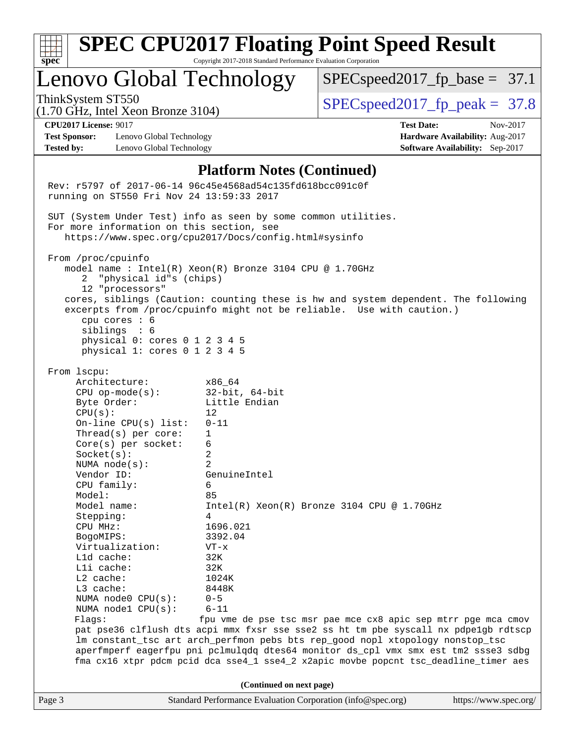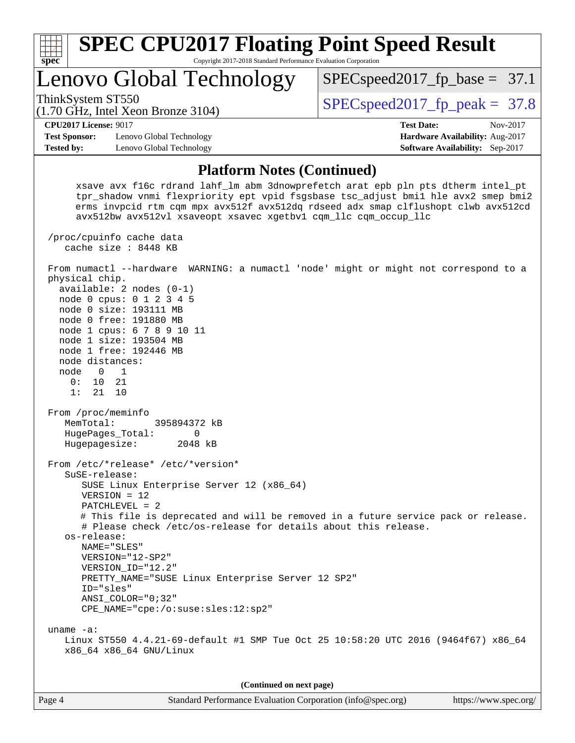| <b>SPEC CPU2017 Floating Point Speed Result</b><br>spec<br>Copyright 2017-2018 Standard Performance Evaluation Corporation                                                                                                                                                                                                                                                                                                                                                                                                                                                                                                                                                                                                                                                                                                                                                                                                                                                                                                    |                                                                           |
|-------------------------------------------------------------------------------------------------------------------------------------------------------------------------------------------------------------------------------------------------------------------------------------------------------------------------------------------------------------------------------------------------------------------------------------------------------------------------------------------------------------------------------------------------------------------------------------------------------------------------------------------------------------------------------------------------------------------------------------------------------------------------------------------------------------------------------------------------------------------------------------------------------------------------------------------------------------------------------------------------------------------------------|---------------------------------------------------------------------------|
| Lenovo Global Technology                                                                                                                                                                                                                                                                                                                                                                                                                                                                                                                                                                                                                                                                                                                                                                                                                                                                                                                                                                                                      | $SPEC speed2017_f p\_base = 37.1$                                         |
| ThinkSystem ST550<br>(1.70 GHz, Intel Xeon Bronze 3104)                                                                                                                                                                                                                                                                                                                                                                                                                                                                                                                                                                                                                                                                                                                                                                                                                                                                                                                                                                       | $SPEC speed2017fp peak = 37.8$                                            |
| <b>CPU2017 License: 9017</b>                                                                                                                                                                                                                                                                                                                                                                                                                                                                                                                                                                                                                                                                                                                                                                                                                                                                                                                                                                                                  | <b>Test Date:</b><br>Nov-2017                                             |
| <b>Test Sponsor:</b><br>Lenovo Global Technology<br><b>Tested by:</b><br>Lenovo Global Technology                                                                                                                                                                                                                                                                                                                                                                                                                                                                                                                                                                                                                                                                                                                                                                                                                                                                                                                             | Hardware Availability: Aug-2017<br><b>Software Availability:</b> Sep-2017 |
| <b>Platform Notes (Continued)</b>                                                                                                                                                                                                                                                                                                                                                                                                                                                                                                                                                                                                                                                                                                                                                                                                                                                                                                                                                                                             |                                                                           |
| xsave avx f16c rdrand lahf_lm abm 3dnowprefetch arat epb pln pts dtherm intel_pt<br>tpr_shadow vnmi flexpriority ept vpid fsgsbase tsc_adjust bmil hle avx2 smep bmi2<br>erms invpcid rtm cqm mpx avx512f avx512dq rdseed adx smap clflushopt clwb avx512cd<br>avx512bw avx512vl xsaveopt xsavec xgetbvl cqm_llc cqm_occup_llc                                                                                                                                                                                                                                                                                                                                                                                                                                                                                                                                                                                                                                                                                                |                                                                           |
| /proc/cpuinfo cache data<br>cache size : 8448 KB                                                                                                                                                                                                                                                                                                                                                                                                                                                                                                                                                                                                                                                                                                                                                                                                                                                                                                                                                                              |                                                                           |
| From numactl --hardware WARNING: a numactl 'node' might or might not correspond to a<br>physical chip.<br>$available: 2 nodes (0-1)$<br>node 0 cpus: 0 1 2 3 4 5<br>node 0 size: 193111 MB<br>node 0 free: 191880 MB<br>node 1 cpus: 6 7 8 9 10 11<br>node 1 size: 193504 MB<br>node 1 free: 192446 MB<br>node distances:<br>$\overline{0}$<br>$\overline{1}$<br>node<br>0:<br>10<br>21<br>1:<br>21<br>10<br>From /proc/meminfo<br>MemTotal:<br>395894372 kB<br>HugePages_Total:<br>0<br>Hugepagesize:<br>2048 kB<br>From /etc/*release* /etc/*version*<br>SuSE-release:<br>SUSE Linux Enterprise Server 12 (x86_64)<br>$VERSION = 12$<br>$PATCHLEVEL = 2$<br># This file is deprecated and will be removed in a future service pack or release.<br># Please check /etc/os-release for details about this release.<br>os-release:<br>NAME="SLES"<br>VERSION="12-SP2"<br>VERSION ID="12.2"<br>PRETTY_NAME="SUSE Linux Enterprise Server 12 SP2"<br>ID="sles"<br>$ANSI$ _COLOR=" $0:32$ "<br>CPE_NAME="cpe:/o:suse:sles:12:sp2" |                                                                           |
| uname $-a$ :<br>Linux ST550 4.4.21-69-default #1 SMP Tue Oct 25 10:58:20 UTC 2016 (9464f67) x86_64<br>x86_64 x86_64 GNU/Linux                                                                                                                                                                                                                                                                                                                                                                                                                                                                                                                                                                                                                                                                                                                                                                                                                                                                                                 |                                                                           |
| (Continued on next page)                                                                                                                                                                                                                                                                                                                                                                                                                                                                                                                                                                                                                                                                                                                                                                                                                                                                                                                                                                                                      |                                                                           |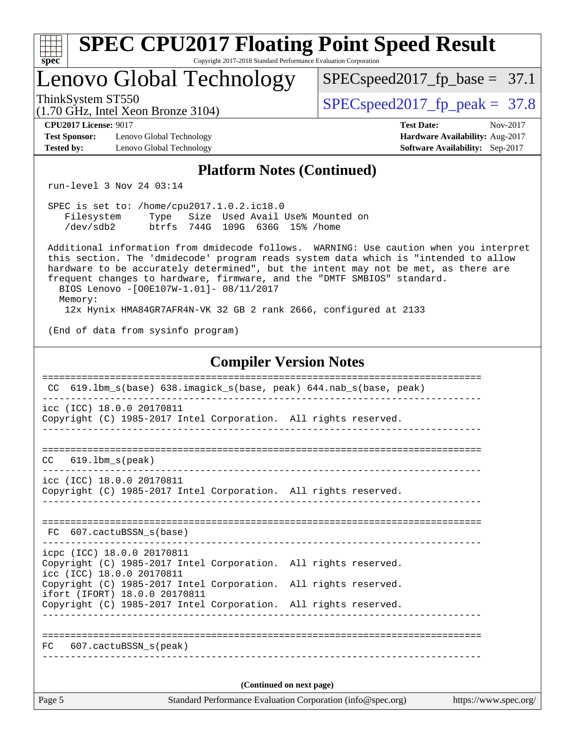| <b>SPEC CPU2017 Floating Point Speed Result</b>                                                                                                                                                                                                                                                                                                                                                                                                                          |                                                                                                     |
|--------------------------------------------------------------------------------------------------------------------------------------------------------------------------------------------------------------------------------------------------------------------------------------------------------------------------------------------------------------------------------------------------------------------------------------------------------------------------|-----------------------------------------------------------------------------------------------------|
| Copyright 2017-2018 Standard Performance Evaluation Corporation<br>$spec^*$<br>Lenovo Global Technology                                                                                                                                                                                                                                                                                                                                                                  | $SPEC speed2017_f p\_base = 37.1$                                                                   |
| ThinkSystem ST550<br>$(1.70 \text{ GHz}, \text{Intel Xeon Bronze } 3104)$                                                                                                                                                                                                                                                                                                                                                                                                | $SPEC speed2017fp peak = 37.8$                                                                      |
| <b>CPU2017 License: 9017</b><br><b>Test Sponsor:</b><br>Lenovo Global Technology<br><b>Tested by:</b><br>Lenovo Global Technology                                                                                                                                                                                                                                                                                                                                        | <b>Test Date:</b><br>Nov-2017<br>Hardware Availability: Aug-2017<br>Software Availability: Sep-2017 |
| <b>Platform Notes (Continued)</b>                                                                                                                                                                                                                                                                                                                                                                                                                                        |                                                                                                     |
| run-level 3 Nov 24 03:14                                                                                                                                                                                                                                                                                                                                                                                                                                                 |                                                                                                     |
| SPEC is set to: /home/cpu2017.1.0.2.ic18.0<br>Filesystem Type Size Used Avail Use% Mounted on<br>/dev/sdb2<br>btrfs 744G 109G 636G 15% / home                                                                                                                                                                                                                                                                                                                            |                                                                                                     |
| Additional information from dmidecode follows. WARNING: Use caution when you interpret<br>this section. The 'dmidecode' program reads system data which is "intended to allow<br>hardware to be accurately determined", but the intent may not be met, as there are<br>frequent changes to hardware, firmware, and the "DMTF SMBIOS" standard.<br>BIOS Lenovo -[O0E107W-1.01]- 08/11/2017<br>Memory:<br>12x Hynix HMA84GR7AFR4N-VK 32 GB 2 rank 2666, configured at 2133 |                                                                                                     |
| (End of data from sysinfo program)                                                                                                                                                                                                                                                                                                                                                                                                                                       |                                                                                                     |
| <b>Compiler Version Notes</b>                                                                                                                                                                                                                                                                                                                                                                                                                                            |                                                                                                     |
| CC 619.1bm_s(base) 638.imagick_s(base, peak) 644.nab_s(base, peak)                                                                                                                                                                                                                                                                                                                                                                                                       |                                                                                                     |
| icc (ICC) 18.0.0 20170811<br>Copyright (C) 1985-2017 Intel Corporation. All rights reserved.                                                                                                                                                                                                                                                                                                                                                                             |                                                                                                     |
| CC<br>$619.1$ bm_s(peak)                                                                                                                                                                                                                                                                                                                                                                                                                                                 |                                                                                                     |
| icc (ICC) 18.0.0 20170811<br>Copyright (C) 1985-2017 Intel Corporation. All rights reserved.                                                                                                                                                                                                                                                                                                                                                                             |                                                                                                     |
| FC 607.cactuBSSN_s(base)                                                                                                                                                                                                                                                                                                                                                                                                                                                 |                                                                                                     |
| icpc (ICC) 18.0.0 20170811<br>Copyright (C) 1985-2017 Intel Corporation. All rights reserved.<br>icc (ICC) 18.0.0 20170811                                                                                                                                                                                                                                                                                                                                               |                                                                                                     |
| Copyright (C) 1985-2017 Intel Corporation. All rights reserved.<br>ifort (IFORT) 18.0.0 20170811                                                                                                                                                                                                                                                                                                                                                                         |                                                                                                     |
| Copyright (C) 1985-2017 Intel Corporation. All rights reserved.                                                                                                                                                                                                                                                                                                                                                                                                          |                                                                                                     |
| 607.cactuBSSN s(peak)<br>FC.                                                                                                                                                                                                                                                                                                                                                                                                                                             |                                                                                                     |
| (Continued on next page)                                                                                                                                                                                                                                                                                                                                                                                                                                                 |                                                                                                     |
| Page 5<br>Standard Performance Evaluation Corporation (info@spec.org)                                                                                                                                                                                                                                                                                                                                                                                                    | https://www.spec.org/                                                                               |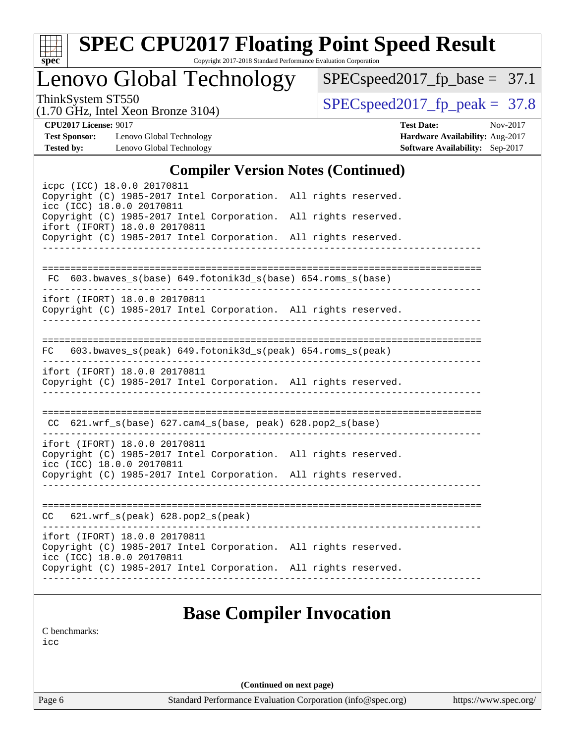| ×.<br>€<br>۰ |  |  |  |  |  |
|--------------|--|--|--|--|--|

# **[SPEC CPU2017 Floating Point Speed Result](http://www.spec.org/auto/cpu2017/Docs/result-fields.html#SPECCPU2017FloatingPointSpeedResult)**

Copyright 2017-2018 Standard Performance Evaluation Corporation

Lenovo Global Technology

 $SPEC speed2017_fp\_base = 37.1$ 

(1.70 GHz, Intel Xeon Bronze 3104)

ThinkSystem ST550<br>(1.70 GHz, Intel Year Bronze 3104) [SPECspeed2017\\_fp\\_peak =](http://www.spec.org/auto/cpu2017/Docs/result-fields.html#SPECspeed2017fppeak) 37.8

**[Test Sponsor:](http://www.spec.org/auto/cpu2017/Docs/result-fields.html#TestSponsor)** Lenovo Global Technology **[Hardware Availability:](http://www.spec.org/auto/cpu2017/Docs/result-fields.html#HardwareAvailability)** Aug-2017 **[Tested by:](http://www.spec.org/auto/cpu2017/Docs/result-fields.html#Testedby)** Lenovo Global Technology **[Software Availability:](http://www.spec.org/auto/cpu2017/Docs/result-fields.html#SoftwareAvailability)** Sep-2017

**[CPU2017 License:](http://www.spec.org/auto/cpu2017/Docs/result-fields.html#CPU2017License)** 9017 **[Test Date:](http://www.spec.org/auto/cpu2017/Docs/result-fields.html#TestDate)** Nov-2017

#### **[Compiler Version Notes \(Continued\)](http://www.spec.org/auto/cpu2017/Docs/result-fields.html#CompilerVersionNotes)**

| icpc (ICC) 18.0.0 20170811<br>Copyright (C) 1985-2017 Intel Corporation. All rights reserved.<br>icc (ICC) 18.0.0 20170811<br>Copyright (C) 1985-2017 Intel Corporation. All rights reserved.<br>ifort (IFORT) 18.0.0 20170811<br>Copyright (C) 1985-2017 Intel Corporation. All rights reserved. | $\frac{1}{2}$                       |  |
|---------------------------------------------------------------------------------------------------------------------------------------------------------------------------------------------------------------------------------------------------------------------------------------------------|-------------------------------------|--|
| FC 603.bwaves_s(base) 649.fotonik3d_s(base) 654.roms_s(base)                                                                                                                                                                                                                                      |                                     |  |
| ifort (IFORT) 18.0.0 20170811<br>Copyright (C) 1985-2017 Intel Corporation. All rights reserved.                                                                                                                                                                                                  | ___________________________________ |  |
| FC 603.bwaves_s(peak) 649.fotonik3d_s(peak) 654.roms_s(peak)                                                                                                                                                                                                                                      |                                     |  |
| ifort (IFORT) 18.0.0 20170811<br>Copyright (C) 1985-2017 Intel Corporation. All rights reserved.                                                                                                                                                                                                  | -----------------                   |  |
| $CC$ 621.wrf_s(base) 627.cam4_s(base, peak) 628.pop2_s(base)                                                                                                                                                                                                                                      |                                     |  |
| ifort (IFORT) 18.0.0 20170811<br>Copyright (C) 1985-2017 Intel Corporation. All rights reserved.<br>icc (ICC) 18.0.0 20170811                                                                                                                                                                     |                                     |  |
| Copyright (C) 1985-2017 Intel Corporation. All rights reserved.                                                                                                                                                                                                                                   |                                     |  |
| $CC$ 621.wrf_s(peak) 628.pop2_s(peak)                                                                                                                                                                                                                                                             |                                     |  |
| ifort (IFORT) 18.0.0 20170811<br>Copyright (C) 1985-2017 Intel Corporation. All rights reserved.<br>icc (ICC) 18.0.0 20170811<br>Copyright (C) 1985-2017 Intel Corporation. All rights reserved.                                                                                                  |                                     |  |
|                                                                                                                                                                                                                                                                                                   |                                     |  |

### **[Base Compiler Invocation](http://www.spec.org/auto/cpu2017/Docs/result-fields.html#BaseCompilerInvocation)**

[C benchmarks](http://www.spec.org/auto/cpu2017/Docs/result-fields.html#Cbenchmarks):

[icc](http://www.spec.org/cpu2017/results/res2017q4/cpu2017-20171128-01330.flags.html#user_CCbase_intel_icc_18.0_66fc1ee009f7361af1fbd72ca7dcefbb700085f36577c54f309893dd4ec40d12360134090235512931783d35fd58c0460139e722d5067c5574d8eaf2b3e37e92)

**(Continued on next page)**

Page 6 Standard Performance Evaluation Corporation [\(info@spec.org\)](mailto:info@spec.org) <https://www.spec.org/>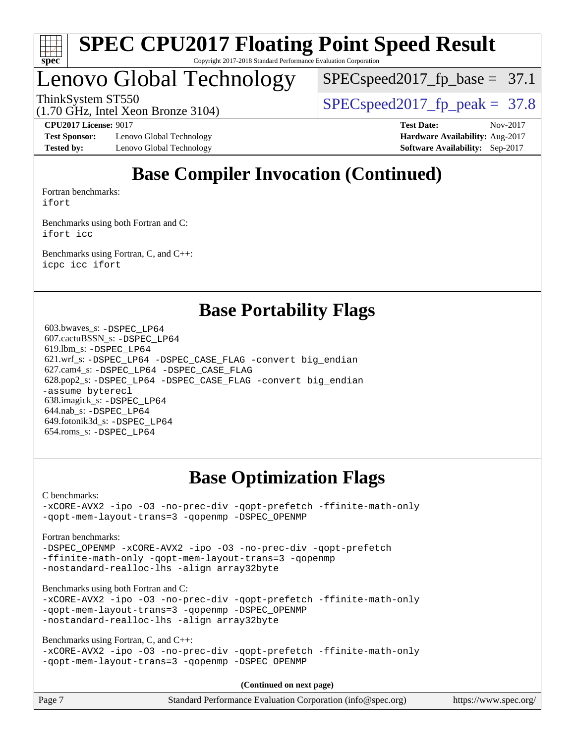

## Lenovo Global Technology

 $SPECspeed2017_fp\_base = 37.1$ 

(1.70 GHz, Intel Xeon Bronze 3104)

ThinkSystem ST550<br>(1.70 CHz, Intel Yoan Propea 3104) [SPECspeed2017\\_fp\\_peak =](http://www.spec.org/auto/cpu2017/Docs/result-fields.html#SPECspeed2017fppeak) 37.8

**[Test Sponsor:](http://www.spec.org/auto/cpu2017/Docs/result-fields.html#TestSponsor)** Lenovo Global Technology **[Hardware Availability:](http://www.spec.org/auto/cpu2017/Docs/result-fields.html#HardwareAvailability)** Aug-2017 **[Tested by:](http://www.spec.org/auto/cpu2017/Docs/result-fields.html#Testedby)** Lenovo Global Technology **[Software Availability:](http://www.spec.org/auto/cpu2017/Docs/result-fields.html#SoftwareAvailability)** Sep-2017

**[CPU2017 License:](http://www.spec.org/auto/cpu2017/Docs/result-fields.html#CPU2017License)** 9017 **[Test Date:](http://www.spec.org/auto/cpu2017/Docs/result-fields.html#TestDate)** Nov-2017

### **[Base Compiler Invocation \(Continued\)](http://www.spec.org/auto/cpu2017/Docs/result-fields.html#BaseCompilerInvocation)**

[Fortran benchmarks](http://www.spec.org/auto/cpu2017/Docs/result-fields.html#Fortranbenchmarks): [ifort](http://www.spec.org/cpu2017/results/res2017q4/cpu2017-20171128-01330.flags.html#user_FCbase_intel_ifort_18.0_8111460550e3ca792625aed983ce982f94888b8b503583aa7ba2b8303487b4d8a21a13e7191a45c5fd58ff318f48f9492884d4413fa793fd88dd292cad7027ca)

[Benchmarks using both Fortran and C](http://www.spec.org/auto/cpu2017/Docs/result-fields.html#BenchmarksusingbothFortranandC): [ifort](http://www.spec.org/cpu2017/results/res2017q4/cpu2017-20171128-01330.flags.html#user_CC_FCbase_intel_ifort_18.0_8111460550e3ca792625aed983ce982f94888b8b503583aa7ba2b8303487b4d8a21a13e7191a45c5fd58ff318f48f9492884d4413fa793fd88dd292cad7027ca) [icc](http://www.spec.org/cpu2017/results/res2017q4/cpu2017-20171128-01330.flags.html#user_CC_FCbase_intel_icc_18.0_66fc1ee009f7361af1fbd72ca7dcefbb700085f36577c54f309893dd4ec40d12360134090235512931783d35fd58c0460139e722d5067c5574d8eaf2b3e37e92)

[Benchmarks using Fortran, C, and C++:](http://www.spec.org/auto/cpu2017/Docs/result-fields.html#BenchmarksusingFortranCandCXX) [icpc](http://www.spec.org/cpu2017/results/res2017q4/cpu2017-20171128-01330.flags.html#user_CC_CXX_FCbase_intel_icpc_18.0_c510b6838c7f56d33e37e94d029a35b4a7bccf4766a728ee175e80a419847e808290a9b78be685c44ab727ea267ec2f070ec5dc83b407c0218cded6866a35d07) [icc](http://www.spec.org/cpu2017/results/res2017q4/cpu2017-20171128-01330.flags.html#user_CC_CXX_FCbase_intel_icc_18.0_66fc1ee009f7361af1fbd72ca7dcefbb700085f36577c54f309893dd4ec40d12360134090235512931783d35fd58c0460139e722d5067c5574d8eaf2b3e37e92) [ifort](http://www.spec.org/cpu2017/results/res2017q4/cpu2017-20171128-01330.flags.html#user_CC_CXX_FCbase_intel_ifort_18.0_8111460550e3ca792625aed983ce982f94888b8b503583aa7ba2b8303487b4d8a21a13e7191a45c5fd58ff318f48f9492884d4413fa793fd88dd292cad7027ca)

### **[Base Portability Flags](http://www.spec.org/auto/cpu2017/Docs/result-fields.html#BasePortabilityFlags)**

 603.bwaves\_s: [-DSPEC\\_LP64](http://www.spec.org/cpu2017/results/res2017q4/cpu2017-20171128-01330.flags.html#suite_basePORTABILITY603_bwaves_s_DSPEC_LP64) 607.cactuBSSN\_s: [-DSPEC\\_LP64](http://www.spec.org/cpu2017/results/res2017q4/cpu2017-20171128-01330.flags.html#suite_basePORTABILITY607_cactuBSSN_s_DSPEC_LP64) 619.lbm\_s: [-DSPEC\\_LP64](http://www.spec.org/cpu2017/results/res2017q4/cpu2017-20171128-01330.flags.html#suite_basePORTABILITY619_lbm_s_DSPEC_LP64) 621.wrf\_s: [-DSPEC\\_LP64](http://www.spec.org/cpu2017/results/res2017q4/cpu2017-20171128-01330.flags.html#suite_basePORTABILITY621_wrf_s_DSPEC_LP64) [-DSPEC\\_CASE\\_FLAG](http://www.spec.org/cpu2017/results/res2017q4/cpu2017-20171128-01330.flags.html#b621.wrf_s_baseCPORTABILITY_DSPEC_CASE_FLAG) [-convert big\\_endian](http://www.spec.org/cpu2017/results/res2017q4/cpu2017-20171128-01330.flags.html#user_baseFPORTABILITY621_wrf_s_convert_big_endian_c3194028bc08c63ac5d04de18c48ce6d347e4e562e8892b8bdbdc0214820426deb8554edfa529a3fb25a586e65a3d812c835984020483e7e73212c4d31a38223) 627.cam4\_s: [-DSPEC\\_LP64](http://www.spec.org/cpu2017/results/res2017q4/cpu2017-20171128-01330.flags.html#suite_basePORTABILITY627_cam4_s_DSPEC_LP64) [-DSPEC\\_CASE\\_FLAG](http://www.spec.org/cpu2017/results/res2017q4/cpu2017-20171128-01330.flags.html#b627.cam4_s_baseCPORTABILITY_DSPEC_CASE_FLAG) 628.pop2\_s: [-DSPEC\\_LP64](http://www.spec.org/cpu2017/results/res2017q4/cpu2017-20171128-01330.flags.html#suite_basePORTABILITY628_pop2_s_DSPEC_LP64) [-DSPEC\\_CASE\\_FLAG](http://www.spec.org/cpu2017/results/res2017q4/cpu2017-20171128-01330.flags.html#b628.pop2_s_baseCPORTABILITY_DSPEC_CASE_FLAG) [-convert big\\_endian](http://www.spec.org/cpu2017/results/res2017q4/cpu2017-20171128-01330.flags.html#user_baseFPORTABILITY628_pop2_s_convert_big_endian_c3194028bc08c63ac5d04de18c48ce6d347e4e562e8892b8bdbdc0214820426deb8554edfa529a3fb25a586e65a3d812c835984020483e7e73212c4d31a38223) [-assume byterecl](http://www.spec.org/cpu2017/results/res2017q4/cpu2017-20171128-01330.flags.html#user_baseFPORTABILITY628_pop2_s_assume_byterecl_7e47d18b9513cf18525430bbf0f2177aa9bf368bc7a059c09b2c06a34b53bd3447c950d3f8d6c70e3faf3a05c8557d66a5798b567902e8849adc142926523472) 638.imagick\_s: [-DSPEC\\_LP64](http://www.spec.org/cpu2017/results/res2017q4/cpu2017-20171128-01330.flags.html#suite_basePORTABILITY638_imagick_s_DSPEC_LP64) 644.nab\_s: [-DSPEC\\_LP64](http://www.spec.org/cpu2017/results/res2017q4/cpu2017-20171128-01330.flags.html#suite_basePORTABILITY644_nab_s_DSPEC_LP64) 649.fotonik3d\_s: [-DSPEC\\_LP64](http://www.spec.org/cpu2017/results/res2017q4/cpu2017-20171128-01330.flags.html#suite_basePORTABILITY649_fotonik3d_s_DSPEC_LP64) 654.roms\_s: [-DSPEC\\_LP64](http://www.spec.org/cpu2017/results/res2017q4/cpu2017-20171128-01330.flags.html#suite_basePORTABILITY654_roms_s_DSPEC_LP64)

### **[Base Optimization Flags](http://www.spec.org/auto/cpu2017/Docs/result-fields.html#BaseOptimizationFlags)**

[C benchmarks](http://www.spec.org/auto/cpu2017/Docs/result-fields.html#Cbenchmarks): [-xCORE-AVX2](http://www.spec.org/cpu2017/results/res2017q4/cpu2017-20171128-01330.flags.html#user_CCbase_f-xCORE-AVX2) [-ipo](http://www.spec.org/cpu2017/results/res2017q4/cpu2017-20171128-01330.flags.html#user_CCbase_f-ipo) [-O3](http://www.spec.org/cpu2017/results/res2017q4/cpu2017-20171128-01330.flags.html#user_CCbase_f-O3) [-no-prec-div](http://www.spec.org/cpu2017/results/res2017q4/cpu2017-20171128-01330.flags.html#user_CCbase_f-no-prec-div) [-qopt-prefetch](http://www.spec.org/cpu2017/results/res2017q4/cpu2017-20171128-01330.flags.html#user_CCbase_f-qopt-prefetch) [-ffinite-math-only](http://www.spec.org/cpu2017/results/res2017q4/cpu2017-20171128-01330.flags.html#user_CCbase_f_finite_math_only_cb91587bd2077682c4b38af759c288ed7c732db004271a9512da14a4f8007909a5f1427ecbf1a0fb78ff2a814402c6114ac565ca162485bbcae155b5e4258871) [-qopt-mem-layout-trans=3](http://www.spec.org/cpu2017/results/res2017q4/cpu2017-20171128-01330.flags.html#user_CCbase_f-qopt-mem-layout-trans_de80db37974c74b1f0e20d883f0b675c88c3b01e9d123adea9b28688d64333345fb62bc4a798493513fdb68f60282f9a726aa07f478b2f7113531aecce732043) [-qopenmp](http://www.spec.org/cpu2017/results/res2017q4/cpu2017-20171128-01330.flags.html#user_CCbase_qopenmp_16be0c44f24f464004c6784a7acb94aca937f053568ce72f94b139a11c7c168634a55f6653758ddd83bcf7b8463e8028bb0b48b77bcddc6b78d5d95bb1df2967) [-DSPEC\\_OPENMP](http://www.spec.org/cpu2017/results/res2017q4/cpu2017-20171128-01330.flags.html#suite_CCbase_DSPEC_OPENMP)

[Fortran benchmarks](http://www.spec.org/auto/cpu2017/Docs/result-fields.html#Fortranbenchmarks):

[-DSPEC\\_OPENMP](http://www.spec.org/cpu2017/results/res2017q4/cpu2017-20171128-01330.flags.html#suite_FCbase_DSPEC_OPENMP) [-xCORE-AVX2](http://www.spec.org/cpu2017/results/res2017q4/cpu2017-20171128-01330.flags.html#user_FCbase_f-xCORE-AVX2) [-ipo](http://www.spec.org/cpu2017/results/res2017q4/cpu2017-20171128-01330.flags.html#user_FCbase_f-ipo) [-O3](http://www.spec.org/cpu2017/results/res2017q4/cpu2017-20171128-01330.flags.html#user_FCbase_f-O3) [-no-prec-div](http://www.spec.org/cpu2017/results/res2017q4/cpu2017-20171128-01330.flags.html#user_FCbase_f-no-prec-div) [-qopt-prefetch](http://www.spec.org/cpu2017/results/res2017q4/cpu2017-20171128-01330.flags.html#user_FCbase_f-qopt-prefetch) [-ffinite-math-only](http://www.spec.org/cpu2017/results/res2017q4/cpu2017-20171128-01330.flags.html#user_FCbase_f_finite_math_only_cb91587bd2077682c4b38af759c288ed7c732db004271a9512da14a4f8007909a5f1427ecbf1a0fb78ff2a814402c6114ac565ca162485bbcae155b5e4258871) [-qopt-mem-layout-trans=3](http://www.spec.org/cpu2017/results/res2017q4/cpu2017-20171128-01330.flags.html#user_FCbase_f-qopt-mem-layout-trans_de80db37974c74b1f0e20d883f0b675c88c3b01e9d123adea9b28688d64333345fb62bc4a798493513fdb68f60282f9a726aa07f478b2f7113531aecce732043) [-qopenmp](http://www.spec.org/cpu2017/results/res2017q4/cpu2017-20171128-01330.flags.html#user_FCbase_qopenmp_16be0c44f24f464004c6784a7acb94aca937f053568ce72f94b139a11c7c168634a55f6653758ddd83bcf7b8463e8028bb0b48b77bcddc6b78d5d95bb1df2967) [-nostandard-realloc-lhs](http://www.spec.org/cpu2017/results/res2017q4/cpu2017-20171128-01330.flags.html#user_FCbase_f_2003_std_realloc_82b4557e90729c0f113870c07e44d33d6f5a304b4f63d4c15d2d0f1fab99f5daaed73bdb9275d9ae411527f28b936061aa8b9c8f2d63842963b95c9dd6426b8a) [-align array32byte](http://www.spec.org/cpu2017/results/res2017q4/cpu2017-20171128-01330.flags.html#user_FCbase_align_array32byte_b982fe038af199962ba9a80c053b8342c548c85b40b8e86eb3cc33dee0d7986a4af373ac2d51c3f7cf710a18d62fdce2948f201cd044323541f22fc0fffc51b6)

[Benchmarks using both Fortran and C](http://www.spec.org/auto/cpu2017/Docs/result-fields.html#BenchmarksusingbothFortranandC):

[-xCORE-AVX2](http://www.spec.org/cpu2017/results/res2017q4/cpu2017-20171128-01330.flags.html#user_CC_FCbase_f-xCORE-AVX2) [-ipo](http://www.spec.org/cpu2017/results/res2017q4/cpu2017-20171128-01330.flags.html#user_CC_FCbase_f-ipo) [-O3](http://www.spec.org/cpu2017/results/res2017q4/cpu2017-20171128-01330.flags.html#user_CC_FCbase_f-O3) [-no-prec-div](http://www.spec.org/cpu2017/results/res2017q4/cpu2017-20171128-01330.flags.html#user_CC_FCbase_f-no-prec-div) [-qopt-prefetch](http://www.spec.org/cpu2017/results/res2017q4/cpu2017-20171128-01330.flags.html#user_CC_FCbase_f-qopt-prefetch) [-ffinite-math-only](http://www.spec.org/cpu2017/results/res2017q4/cpu2017-20171128-01330.flags.html#user_CC_FCbase_f_finite_math_only_cb91587bd2077682c4b38af759c288ed7c732db004271a9512da14a4f8007909a5f1427ecbf1a0fb78ff2a814402c6114ac565ca162485bbcae155b5e4258871) [-qopt-mem-layout-trans=3](http://www.spec.org/cpu2017/results/res2017q4/cpu2017-20171128-01330.flags.html#user_CC_FCbase_f-qopt-mem-layout-trans_de80db37974c74b1f0e20d883f0b675c88c3b01e9d123adea9b28688d64333345fb62bc4a798493513fdb68f60282f9a726aa07f478b2f7113531aecce732043) [-qopenmp](http://www.spec.org/cpu2017/results/res2017q4/cpu2017-20171128-01330.flags.html#user_CC_FCbase_qopenmp_16be0c44f24f464004c6784a7acb94aca937f053568ce72f94b139a11c7c168634a55f6653758ddd83bcf7b8463e8028bb0b48b77bcddc6b78d5d95bb1df2967) [-DSPEC\\_OPENMP](http://www.spec.org/cpu2017/results/res2017q4/cpu2017-20171128-01330.flags.html#suite_CC_FCbase_DSPEC_OPENMP) [-nostandard-realloc-lhs](http://www.spec.org/cpu2017/results/res2017q4/cpu2017-20171128-01330.flags.html#user_CC_FCbase_f_2003_std_realloc_82b4557e90729c0f113870c07e44d33d6f5a304b4f63d4c15d2d0f1fab99f5daaed73bdb9275d9ae411527f28b936061aa8b9c8f2d63842963b95c9dd6426b8a) [-align array32byte](http://www.spec.org/cpu2017/results/res2017q4/cpu2017-20171128-01330.flags.html#user_CC_FCbase_align_array32byte_b982fe038af199962ba9a80c053b8342c548c85b40b8e86eb3cc33dee0d7986a4af373ac2d51c3f7cf710a18d62fdce2948f201cd044323541f22fc0fffc51b6)

[Benchmarks using Fortran, C, and C++:](http://www.spec.org/auto/cpu2017/Docs/result-fields.html#BenchmarksusingFortranCandCXX)

```
-xCORE-AVX2 -ipo -O3 -no-prec-div -qopt-prefetch -ffinite-math-only
-qopt-mem-layout-trans=3 -qopenmp -DSPEC_OPENMP
```
**(Continued on next page)**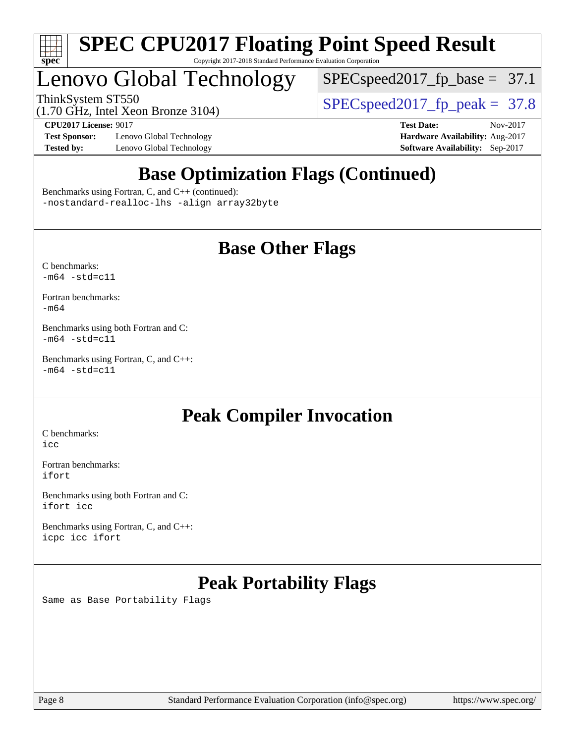

## Lenovo Global Technology

[SPECspeed2017\\_fp\\_base =](http://www.spec.org/auto/cpu2017/Docs/result-fields.html#SPECspeed2017fpbase) 37.1

(1.70 GHz, Intel Xeon Bronze 3104)

ThinkSystem ST550  $SPEC speed2017$   $fp$   $peak = 37.8$ 

**[Test Sponsor:](http://www.spec.org/auto/cpu2017/Docs/result-fields.html#TestSponsor)** Lenovo Global Technology **[Hardware Availability:](http://www.spec.org/auto/cpu2017/Docs/result-fields.html#HardwareAvailability)** Aug-2017 **[Tested by:](http://www.spec.org/auto/cpu2017/Docs/result-fields.html#Testedby)** Lenovo Global Technology **[Software Availability:](http://www.spec.org/auto/cpu2017/Docs/result-fields.html#SoftwareAvailability)** Sep-2017

**[CPU2017 License:](http://www.spec.org/auto/cpu2017/Docs/result-fields.html#CPU2017License)** 9017 **[Test Date:](http://www.spec.org/auto/cpu2017/Docs/result-fields.html#TestDate)** Nov-2017

### **[Base Optimization Flags \(Continued\)](http://www.spec.org/auto/cpu2017/Docs/result-fields.html#BaseOptimizationFlags)**

[Benchmarks using Fortran, C, and C++](http://www.spec.org/auto/cpu2017/Docs/result-fields.html#BenchmarksusingFortranCandCXX) (continued): [-nostandard-realloc-lhs](http://www.spec.org/cpu2017/results/res2017q4/cpu2017-20171128-01330.flags.html#user_CC_CXX_FCbase_f_2003_std_realloc_82b4557e90729c0f113870c07e44d33d6f5a304b4f63d4c15d2d0f1fab99f5daaed73bdb9275d9ae411527f28b936061aa8b9c8f2d63842963b95c9dd6426b8a) [-align array32byte](http://www.spec.org/cpu2017/results/res2017q4/cpu2017-20171128-01330.flags.html#user_CC_CXX_FCbase_align_array32byte_b982fe038af199962ba9a80c053b8342c548c85b40b8e86eb3cc33dee0d7986a4af373ac2d51c3f7cf710a18d62fdce2948f201cd044323541f22fc0fffc51b6)

### **[Base Other Flags](http://www.spec.org/auto/cpu2017/Docs/result-fields.html#BaseOtherFlags)**

[C benchmarks](http://www.spec.org/auto/cpu2017/Docs/result-fields.html#Cbenchmarks):  $-m64 - std= c11$  $-m64 - std= c11$ 

[Fortran benchmarks](http://www.spec.org/auto/cpu2017/Docs/result-fields.html#Fortranbenchmarks): [-m64](http://www.spec.org/cpu2017/results/res2017q4/cpu2017-20171128-01330.flags.html#user_FCbase_intel_intel64_18.0_af43caccfc8ded86e7699f2159af6efc7655f51387b94da716254467f3c01020a5059329e2569e4053f409e7c9202a7efc638f7a6d1ffb3f52dea4a3e31d82ab)

[Benchmarks using both Fortran and C](http://www.spec.org/auto/cpu2017/Docs/result-fields.html#BenchmarksusingbothFortranandC):  $-m64 - std = c11$  $-m64 - std = c11$ 

[Benchmarks using Fortran, C, and C++:](http://www.spec.org/auto/cpu2017/Docs/result-fields.html#BenchmarksusingFortranCandCXX)  $-m64 - std = c11$  $-m64 - std = c11$ 

### **[Peak Compiler Invocation](http://www.spec.org/auto/cpu2017/Docs/result-fields.html#PeakCompilerInvocation)**

[C benchmarks](http://www.spec.org/auto/cpu2017/Docs/result-fields.html#Cbenchmarks): [icc](http://www.spec.org/cpu2017/results/res2017q4/cpu2017-20171128-01330.flags.html#user_CCpeak_intel_icc_18.0_66fc1ee009f7361af1fbd72ca7dcefbb700085f36577c54f309893dd4ec40d12360134090235512931783d35fd58c0460139e722d5067c5574d8eaf2b3e37e92)

[Fortran benchmarks](http://www.spec.org/auto/cpu2017/Docs/result-fields.html#Fortranbenchmarks): [ifort](http://www.spec.org/cpu2017/results/res2017q4/cpu2017-20171128-01330.flags.html#user_FCpeak_intel_ifort_18.0_8111460550e3ca792625aed983ce982f94888b8b503583aa7ba2b8303487b4d8a21a13e7191a45c5fd58ff318f48f9492884d4413fa793fd88dd292cad7027ca)

[Benchmarks using both Fortran and C](http://www.spec.org/auto/cpu2017/Docs/result-fields.html#BenchmarksusingbothFortranandC): [ifort](http://www.spec.org/cpu2017/results/res2017q4/cpu2017-20171128-01330.flags.html#user_CC_FCpeak_intel_ifort_18.0_8111460550e3ca792625aed983ce982f94888b8b503583aa7ba2b8303487b4d8a21a13e7191a45c5fd58ff318f48f9492884d4413fa793fd88dd292cad7027ca) [icc](http://www.spec.org/cpu2017/results/res2017q4/cpu2017-20171128-01330.flags.html#user_CC_FCpeak_intel_icc_18.0_66fc1ee009f7361af1fbd72ca7dcefbb700085f36577c54f309893dd4ec40d12360134090235512931783d35fd58c0460139e722d5067c5574d8eaf2b3e37e92)

[Benchmarks using Fortran, C, and C++:](http://www.spec.org/auto/cpu2017/Docs/result-fields.html#BenchmarksusingFortranCandCXX) [icpc](http://www.spec.org/cpu2017/results/res2017q4/cpu2017-20171128-01330.flags.html#user_CC_CXX_FCpeak_intel_icpc_18.0_c510b6838c7f56d33e37e94d029a35b4a7bccf4766a728ee175e80a419847e808290a9b78be685c44ab727ea267ec2f070ec5dc83b407c0218cded6866a35d07) [icc](http://www.spec.org/cpu2017/results/res2017q4/cpu2017-20171128-01330.flags.html#user_CC_CXX_FCpeak_intel_icc_18.0_66fc1ee009f7361af1fbd72ca7dcefbb700085f36577c54f309893dd4ec40d12360134090235512931783d35fd58c0460139e722d5067c5574d8eaf2b3e37e92) [ifort](http://www.spec.org/cpu2017/results/res2017q4/cpu2017-20171128-01330.flags.html#user_CC_CXX_FCpeak_intel_ifort_18.0_8111460550e3ca792625aed983ce982f94888b8b503583aa7ba2b8303487b4d8a21a13e7191a45c5fd58ff318f48f9492884d4413fa793fd88dd292cad7027ca)

### **[Peak Portability Flags](http://www.spec.org/auto/cpu2017/Docs/result-fields.html#PeakPortabilityFlags)**

Same as Base Portability Flags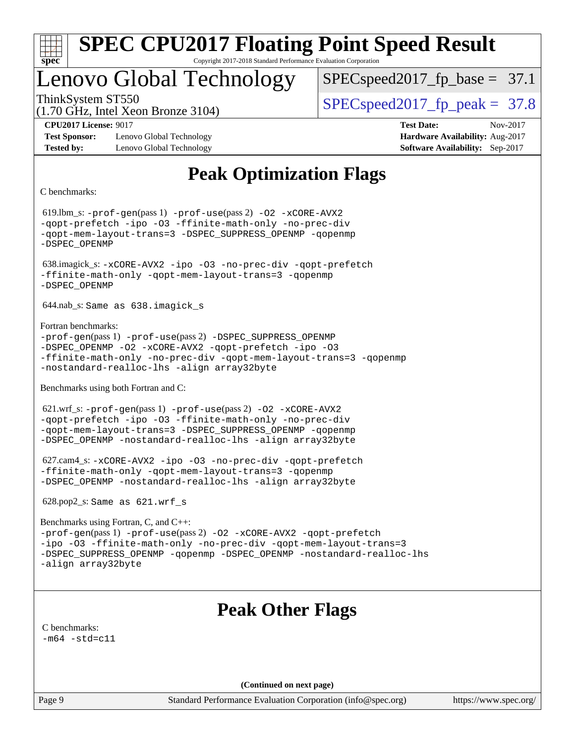

### Lenovo Global Technology

 $SPECspeed2017_fp\_base = 37.1$ 

(1.70 GHz, Intel Xeon Bronze 3104)

ThinkSystem ST550  $SPEC speed2017$  fp\_peak = 37.8

**[Test Sponsor:](http://www.spec.org/auto/cpu2017/Docs/result-fields.html#TestSponsor)** Lenovo Global Technology **[Hardware Availability:](http://www.spec.org/auto/cpu2017/Docs/result-fields.html#HardwareAvailability)** Aug-2017 **[Tested by:](http://www.spec.org/auto/cpu2017/Docs/result-fields.html#Testedby)** Lenovo Global Technology **[Software Availability:](http://www.spec.org/auto/cpu2017/Docs/result-fields.html#SoftwareAvailability)** Sep-2017

**[CPU2017 License:](http://www.spec.org/auto/cpu2017/Docs/result-fields.html#CPU2017License)** 9017 **[Test Date:](http://www.spec.org/auto/cpu2017/Docs/result-fields.html#TestDate)** Nov-2017

### **[Peak Optimization Flags](http://www.spec.org/auto/cpu2017/Docs/result-fields.html#PeakOptimizationFlags)**

[C benchmarks](http://www.spec.org/auto/cpu2017/Docs/result-fields.html#Cbenchmarks):

 619.lbm\_s: [-prof-gen](http://www.spec.org/cpu2017/results/res2017q4/cpu2017-20171128-01330.flags.html#user_peakPASS1_CFLAGSPASS1_LDFLAGS619_lbm_s_prof_gen_5aa4926d6013ddb2a31985c654b3eb18169fc0c6952a63635c234f711e6e63dd76e94ad52365559451ec499a2cdb89e4dc58ba4c67ef54ca681ffbe1461d6b36)(pass 1) [-prof-use](http://www.spec.org/cpu2017/results/res2017q4/cpu2017-20171128-01330.flags.html#user_peakPASS2_CFLAGSPASS2_LDFLAGS619_lbm_s_prof_use_1a21ceae95f36a2b53c25747139a6c16ca95bd9def2a207b4f0849963b97e94f5260e30a0c64f4bb623698870e679ca08317ef8150905d41bd88c6f78df73f19)(pass 2) [-O2](http://www.spec.org/cpu2017/results/res2017q4/cpu2017-20171128-01330.flags.html#user_peakPASS1_COPTIMIZE619_lbm_s_f-O2) [-xCORE-AVX2](http://www.spec.org/cpu2017/results/res2017q4/cpu2017-20171128-01330.flags.html#user_peakPASS2_COPTIMIZE619_lbm_s_f-xCORE-AVX2) [-qopt-prefetch](http://www.spec.org/cpu2017/results/res2017q4/cpu2017-20171128-01330.flags.html#user_peakPASS1_COPTIMIZEPASS2_COPTIMIZE619_lbm_s_f-qopt-prefetch) [-ipo](http://www.spec.org/cpu2017/results/res2017q4/cpu2017-20171128-01330.flags.html#user_peakPASS2_COPTIMIZE619_lbm_s_f-ipo) [-O3](http://www.spec.org/cpu2017/results/res2017q4/cpu2017-20171128-01330.flags.html#user_peakPASS2_COPTIMIZE619_lbm_s_f-O3) [-ffinite-math-only](http://www.spec.org/cpu2017/results/res2017q4/cpu2017-20171128-01330.flags.html#user_peakPASS1_COPTIMIZEPASS2_COPTIMIZE619_lbm_s_f_finite_math_only_cb91587bd2077682c4b38af759c288ed7c732db004271a9512da14a4f8007909a5f1427ecbf1a0fb78ff2a814402c6114ac565ca162485bbcae155b5e4258871) [-no-prec-div](http://www.spec.org/cpu2017/results/res2017q4/cpu2017-20171128-01330.flags.html#user_peakPASS2_COPTIMIZE619_lbm_s_f-no-prec-div) [-qopt-mem-layout-trans=3](http://www.spec.org/cpu2017/results/res2017q4/cpu2017-20171128-01330.flags.html#user_peakPASS1_COPTIMIZEPASS2_COPTIMIZE619_lbm_s_f-qopt-mem-layout-trans_de80db37974c74b1f0e20d883f0b675c88c3b01e9d123adea9b28688d64333345fb62bc4a798493513fdb68f60282f9a726aa07f478b2f7113531aecce732043) [-DSPEC\\_SUPPRESS\\_OPENMP](http://www.spec.org/cpu2017/results/res2017q4/cpu2017-20171128-01330.flags.html#suite_peakPASS1_COPTIMIZE619_lbm_s_DSPEC_SUPPRESS_OPENMP) [-qopenmp](http://www.spec.org/cpu2017/results/res2017q4/cpu2017-20171128-01330.flags.html#user_peakPASS2_COPTIMIZE619_lbm_s_qopenmp_16be0c44f24f464004c6784a7acb94aca937f053568ce72f94b139a11c7c168634a55f6653758ddd83bcf7b8463e8028bb0b48b77bcddc6b78d5d95bb1df2967) [-DSPEC\\_OPENMP](http://www.spec.org/cpu2017/results/res2017q4/cpu2017-20171128-01330.flags.html#suite_peakPASS2_COPTIMIZE619_lbm_s_DSPEC_OPENMP) 638.imagick\_s: [-xCORE-AVX2](http://www.spec.org/cpu2017/results/res2017q4/cpu2017-20171128-01330.flags.html#user_peakCOPTIMIZE638_imagick_s_f-xCORE-AVX2) [-ipo](http://www.spec.org/cpu2017/results/res2017q4/cpu2017-20171128-01330.flags.html#user_peakCOPTIMIZE638_imagick_s_f-ipo) [-O3](http://www.spec.org/cpu2017/results/res2017q4/cpu2017-20171128-01330.flags.html#user_peakCOPTIMIZE638_imagick_s_f-O3) [-no-prec-div](http://www.spec.org/cpu2017/results/res2017q4/cpu2017-20171128-01330.flags.html#user_peakCOPTIMIZE638_imagick_s_f-no-prec-div) [-qopt-prefetch](http://www.spec.org/cpu2017/results/res2017q4/cpu2017-20171128-01330.flags.html#user_peakCOPTIMIZE638_imagick_s_f-qopt-prefetch) [-ffinite-math-only](http://www.spec.org/cpu2017/results/res2017q4/cpu2017-20171128-01330.flags.html#user_peakCOPTIMIZE638_imagick_s_f_finite_math_only_cb91587bd2077682c4b38af759c288ed7c732db004271a9512da14a4f8007909a5f1427ecbf1a0fb78ff2a814402c6114ac565ca162485bbcae155b5e4258871) [-qopt-mem-layout-trans=3](http://www.spec.org/cpu2017/results/res2017q4/cpu2017-20171128-01330.flags.html#user_peakCOPTIMIZE638_imagick_s_f-qopt-mem-layout-trans_de80db37974c74b1f0e20d883f0b675c88c3b01e9d123adea9b28688d64333345fb62bc4a798493513fdb68f60282f9a726aa07f478b2f7113531aecce732043) [-qopenmp](http://www.spec.org/cpu2017/results/res2017q4/cpu2017-20171128-01330.flags.html#user_peakCOPTIMIZE638_imagick_s_qopenmp_16be0c44f24f464004c6784a7acb94aca937f053568ce72f94b139a11c7c168634a55f6653758ddd83bcf7b8463e8028bb0b48b77bcddc6b78d5d95bb1df2967) [-DSPEC\\_OPENMP](http://www.spec.org/cpu2017/results/res2017q4/cpu2017-20171128-01330.flags.html#suite_peakCOPTIMIZE638_imagick_s_DSPEC_OPENMP) 644.nab\_s: Same as 638.imagick\_s [Fortran benchmarks](http://www.spec.org/auto/cpu2017/Docs/result-fields.html#Fortranbenchmarks): [-prof-gen](http://www.spec.org/cpu2017/results/res2017q4/cpu2017-20171128-01330.flags.html#user_FCpeak_prof_gen_5aa4926d6013ddb2a31985c654b3eb18169fc0c6952a63635c234f711e6e63dd76e94ad52365559451ec499a2cdb89e4dc58ba4c67ef54ca681ffbe1461d6b36)(pass 1) [-prof-use](http://www.spec.org/cpu2017/results/res2017q4/cpu2017-20171128-01330.flags.html#user_FCpeak_prof_use_1a21ceae95f36a2b53c25747139a6c16ca95bd9def2a207b4f0849963b97e94f5260e30a0c64f4bb623698870e679ca08317ef8150905d41bd88c6f78df73f19)(pass 2) [-DSPEC\\_SUPPRESS\\_OPENMP](http://www.spec.org/cpu2017/results/res2017q4/cpu2017-20171128-01330.flags.html#suite_FCpeak_DSPEC_SUPPRESS_OPENMP) [-DSPEC\\_OPENMP](http://www.spec.org/cpu2017/results/res2017q4/cpu2017-20171128-01330.flags.html#suite_FCpeak_DSPEC_OPENMP) [-O2](http://www.spec.org/cpu2017/results/res2017q4/cpu2017-20171128-01330.flags.html#user_FCpeak_f-O2) [-xCORE-AVX2](http://www.spec.org/cpu2017/results/res2017q4/cpu2017-20171128-01330.flags.html#user_FCpeak_f-xCORE-AVX2) [-qopt-prefetch](http://www.spec.org/cpu2017/results/res2017q4/cpu2017-20171128-01330.flags.html#user_FCpeak_f-qopt-prefetch) [-ipo](http://www.spec.org/cpu2017/results/res2017q4/cpu2017-20171128-01330.flags.html#user_FCpeak_f-ipo) [-O3](http://www.spec.org/cpu2017/results/res2017q4/cpu2017-20171128-01330.flags.html#user_FCpeak_f-O3) [-ffinite-math-only](http://www.spec.org/cpu2017/results/res2017q4/cpu2017-20171128-01330.flags.html#user_FCpeak_f_finite_math_only_cb91587bd2077682c4b38af759c288ed7c732db004271a9512da14a4f8007909a5f1427ecbf1a0fb78ff2a814402c6114ac565ca162485bbcae155b5e4258871) [-no-prec-div](http://www.spec.org/cpu2017/results/res2017q4/cpu2017-20171128-01330.flags.html#user_FCpeak_f-no-prec-div) [-qopt-mem-layout-trans=3](http://www.spec.org/cpu2017/results/res2017q4/cpu2017-20171128-01330.flags.html#user_FCpeak_f-qopt-mem-layout-trans_de80db37974c74b1f0e20d883f0b675c88c3b01e9d123adea9b28688d64333345fb62bc4a798493513fdb68f60282f9a726aa07f478b2f7113531aecce732043) [-qopenmp](http://www.spec.org/cpu2017/results/res2017q4/cpu2017-20171128-01330.flags.html#user_FCpeak_qopenmp_16be0c44f24f464004c6784a7acb94aca937f053568ce72f94b139a11c7c168634a55f6653758ddd83bcf7b8463e8028bb0b48b77bcddc6b78d5d95bb1df2967) [-nostandard-realloc-lhs](http://www.spec.org/cpu2017/results/res2017q4/cpu2017-20171128-01330.flags.html#user_FCpeak_f_2003_std_realloc_82b4557e90729c0f113870c07e44d33d6f5a304b4f63d4c15d2d0f1fab99f5daaed73bdb9275d9ae411527f28b936061aa8b9c8f2d63842963b95c9dd6426b8a) [-align array32byte](http://www.spec.org/cpu2017/results/res2017q4/cpu2017-20171128-01330.flags.html#user_FCpeak_align_array32byte_b982fe038af199962ba9a80c053b8342c548c85b40b8e86eb3cc33dee0d7986a4af373ac2d51c3f7cf710a18d62fdce2948f201cd044323541f22fc0fffc51b6) [Benchmarks using both Fortran and C](http://www.spec.org/auto/cpu2017/Docs/result-fields.html#BenchmarksusingbothFortranandC): 621.wrf\_s: [-prof-gen](http://www.spec.org/cpu2017/results/res2017q4/cpu2017-20171128-01330.flags.html#user_peakPASS1_CFLAGSPASS1_FFLAGSPASS1_LDFLAGS621_wrf_s_prof_gen_5aa4926d6013ddb2a31985c654b3eb18169fc0c6952a63635c234f711e6e63dd76e94ad52365559451ec499a2cdb89e4dc58ba4c67ef54ca681ffbe1461d6b36)(pass 1) [-prof-use](http://www.spec.org/cpu2017/results/res2017q4/cpu2017-20171128-01330.flags.html#user_peakPASS2_CFLAGSPASS2_FFLAGSPASS2_LDFLAGS621_wrf_s_prof_use_1a21ceae95f36a2b53c25747139a6c16ca95bd9def2a207b4f0849963b97e94f5260e30a0c64f4bb623698870e679ca08317ef8150905d41bd88c6f78df73f19)(pass 2) [-O2](http://www.spec.org/cpu2017/results/res2017q4/cpu2017-20171128-01330.flags.html#user_peakPASS1_COPTIMIZEPASS1_FOPTIMIZE621_wrf_s_f-O2) [-xCORE-AVX2](http://www.spec.org/cpu2017/results/res2017q4/cpu2017-20171128-01330.flags.html#user_peakPASS2_COPTIMIZEPASS2_FOPTIMIZE621_wrf_s_f-xCORE-AVX2) [-qopt-prefetch](http://www.spec.org/cpu2017/results/res2017q4/cpu2017-20171128-01330.flags.html#user_peakPASS1_COPTIMIZEPASS1_FOPTIMIZEPASS2_COPTIMIZEPASS2_FOPTIMIZE621_wrf_s_f-qopt-prefetch) [-ipo](http://www.spec.org/cpu2017/results/res2017q4/cpu2017-20171128-01330.flags.html#user_peakPASS2_COPTIMIZEPASS2_FOPTIMIZE621_wrf_s_f-ipo) [-O3](http://www.spec.org/cpu2017/results/res2017q4/cpu2017-20171128-01330.flags.html#user_peakPASS2_COPTIMIZEPASS2_FOPTIMIZE621_wrf_s_f-O3) [-ffinite-math-only](http://www.spec.org/cpu2017/results/res2017q4/cpu2017-20171128-01330.flags.html#user_peakPASS1_COPTIMIZEPASS1_FOPTIMIZEPASS2_COPTIMIZEPASS2_FOPTIMIZE621_wrf_s_f_finite_math_only_cb91587bd2077682c4b38af759c288ed7c732db004271a9512da14a4f8007909a5f1427ecbf1a0fb78ff2a814402c6114ac565ca162485bbcae155b5e4258871) [-no-prec-div](http://www.spec.org/cpu2017/results/res2017q4/cpu2017-20171128-01330.flags.html#user_peakPASS2_COPTIMIZEPASS2_FOPTIMIZE621_wrf_s_f-no-prec-div) [-qopt-mem-layout-trans=3](http://www.spec.org/cpu2017/results/res2017q4/cpu2017-20171128-01330.flags.html#user_peakPASS1_COPTIMIZEPASS1_FOPTIMIZEPASS2_COPTIMIZEPASS2_FOPTIMIZE621_wrf_s_f-qopt-mem-layout-trans_de80db37974c74b1f0e20d883f0b675c88c3b01e9d123adea9b28688d64333345fb62bc4a798493513fdb68f60282f9a726aa07f478b2f7113531aecce732043) [-DSPEC\\_SUPPRESS\\_OPENMP](http://www.spec.org/cpu2017/results/res2017q4/cpu2017-20171128-01330.flags.html#suite_peakPASS1_COPTIMIZEPASS1_FOPTIMIZE621_wrf_s_DSPEC_SUPPRESS_OPENMP) [-qopenmp](http://www.spec.org/cpu2017/results/res2017q4/cpu2017-20171128-01330.flags.html#user_peakPASS2_COPTIMIZEPASS2_FOPTIMIZE621_wrf_s_qopenmp_16be0c44f24f464004c6784a7acb94aca937f053568ce72f94b139a11c7c168634a55f6653758ddd83bcf7b8463e8028bb0b48b77bcddc6b78d5d95bb1df2967) [-DSPEC\\_OPENMP](http://www.spec.org/cpu2017/results/res2017q4/cpu2017-20171128-01330.flags.html#suite_peakPASS2_COPTIMIZEPASS2_FOPTIMIZE621_wrf_s_DSPEC_OPENMP) [-nostandard-realloc-lhs](http://www.spec.org/cpu2017/results/res2017q4/cpu2017-20171128-01330.flags.html#user_peakEXTRA_FOPTIMIZE621_wrf_s_f_2003_std_realloc_82b4557e90729c0f113870c07e44d33d6f5a304b4f63d4c15d2d0f1fab99f5daaed73bdb9275d9ae411527f28b936061aa8b9c8f2d63842963b95c9dd6426b8a) [-align array32byte](http://www.spec.org/cpu2017/results/res2017q4/cpu2017-20171128-01330.flags.html#user_peakEXTRA_FOPTIMIZE621_wrf_s_align_array32byte_b982fe038af199962ba9a80c053b8342c548c85b40b8e86eb3cc33dee0d7986a4af373ac2d51c3f7cf710a18d62fdce2948f201cd044323541f22fc0fffc51b6) 627.cam4\_s: [-xCORE-AVX2](http://www.spec.org/cpu2017/results/res2017q4/cpu2017-20171128-01330.flags.html#user_peakCOPTIMIZEFOPTIMIZE627_cam4_s_f-xCORE-AVX2) [-ipo](http://www.spec.org/cpu2017/results/res2017q4/cpu2017-20171128-01330.flags.html#user_peakCOPTIMIZEFOPTIMIZE627_cam4_s_f-ipo) [-O3](http://www.spec.org/cpu2017/results/res2017q4/cpu2017-20171128-01330.flags.html#user_peakCOPTIMIZEFOPTIMIZE627_cam4_s_f-O3) [-no-prec-div](http://www.spec.org/cpu2017/results/res2017q4/cpu2017-20171128-01330.flags.html#user_peakCOPTIMIZEFOPTIMIZE627_cam4_s_f-no-prec-div) [-qopt-prefetch](http://www.spec.org/cpu2017/results/res2017q4/cpu2017-20171128-01330.flags.html#user_peakCOPTIMIZEFOPTIMIZE627_cam4_s_f-qopt-prefetch) [-ffinite-math-only](http://www.spec.org/cpu2017/results/res2017q4/cpu2017-20171128-01330.flags.html#user_peakCOPTIMIZEFOPTIMIZE627_cam4_s_f_finite_math_only_cb91587bd2077682c4b38af759c288ed7c732db004271a9512da14a4f8007909a5f1427ecbf1a0fb78ff2a814402c6114ac565ca162485bbcae155b5e4258871) [-qopt-mem-layout-trans=3](http://www.spec.org/cpu2017/results/res2017q4/cpu2017-20171128-01330.flags.html#user_peakCOPTIMIZEFOPTIMIZE627_cam4_s_f-qopt-mem-layout-trans_de80db37974c74b1f0e20d883f0b675c88c3b01e9d123adea9b28688d64333345fb62bc4a798493513fdb68f60282f9a726aa07f478b2f7113531aecce732043) [-qopenmp](http://www.spec.org/cpu2017/results/res2017q4/cpu2017-20171128-01330.flags.html#user_peakCOPTIMIZEFOPTIMIZE627_cam4_s_qopenmp_16be0c44f24f464004c6784a7acb94aca937f053568ce72f94b139a11c7c168634a55f6653758ddd83bcf7b8463e8028bb0b48b77bcddc6b78d5d95bb1df2967) [-DSPEC\\_OPENMP](http://www.spec.org/cpu2017/results/res2017q4/cpu2017-20171128-01330.flags.html#suite_peakCOPTIMIZEFOPTIMIZE627_cam4_s_DSPEC_OPENMP) [-nostandard-realloc-lhs](http://www.spec.org/cpu2017/results/res2017q4/cpu2017-20171128-01330.flags.html#user_peakEXTRA_FOPTIMIZE627_cam4_s_f_2003_std_realloc_82b4557e90729c0f113870c07e44d33d6f5a304b4f63d4c15d2d0f1fab99f5daaed73bdb9275d9ae411527f28b936061aa8b9c8f2d63842963b95c9dd6426b8a) [-align array32byte](http://www.spec.org/cpu2017/results/res2017q4/cpu2017-20171128-01330.flags.html#user_peakEXTRA_FOPTIMIZE627_cam4_s_align_array32byte_b982fe038af199962ba9a80c053b8342c548c85b40b8e86eb3cc33dee0d7986a4af373ac2d51c3f7cf710a18d62fdce2948f201cd044323541f22fc0fffc51b6) 628.pop2\_s: Same as 621.wrf\_s [Benchmarks using Fortran, C, and C++](http://www.spec.org/auto/cpu2017/Docs/result-fields.html#BenchmarksusingFortranCandCXX): [-prof-gen](http://www.spec.org/cpu2017/results/res2017q4/cpu2017-20171128-01330.flags.html#user_CC_CXX_FCpeak_prof_gen_5aa4926d6013ddb2a31985c654b3eb18169fc0c6952a63635c234f711e6e63dd76e94ad52365559451ec499a2cdb89e4dc58ba4c67ef54ca681ffbe1461d6b36)(pass 1) [-prof-use](http://www.spec.org/cpu2017/results/res2017q4/cpu2017-20171128-01330.flags.html#user_CC_CXX_FCpeak_prof_use_1a21ceae95f36a2b53c25747139a6c16ca95bd9def2a207b4f0849963b97e94f5260e30a0c64f4bb623698870e679ca08317ef8150905d41bd88c6f78df73f19)(pass 2) [-O2](http://www.spec.org/cpu2017/results/res2017q4/cpu2017-20171128-01330.flags.html#user_CC_CXX_FCpeak_f-O2) [-xCORE-AVX2](http://www.spec.org/cpu2017/results/res2017q4/cpu2017-20171128-01330.flags.html#user_CC_CXX_FCpeak_f-xCORE-AVX2) [-qopt-prefetch](http://www.spec.org/cpu2017/results/res2017q4/cpu2017-20171128-01330.flags.html#user_CC_CXX_FCpeak_f-qopt-prefetch) [-ipo](http://www.spec.org/cpu2017/results/res2017q4/cpu2017-20171128-01330.flags.html#user_CC_CXX_FCpeak_f-ipo) [-O3](http://www.spec.org/cpu2017/results/res2017q4/cpu2017-20171128-01330.flags.html#user_CC_CXX_FCpeak_f-O3) [-ffinite-math-only](http://www.spec.org/cpu2017/results/res2017q4/cpu2017-20171128-01330.flags.html#user_CC_CXX_FCpeak_f_finite_math_only_cb91587bd2077682c4b38af759c288ed7c732db004271a9512da14a4f8007909a5f1427ecbf1a0fb78ff2a814402c6114ac565ca162485bbcae155b5e4258871) [-no-prec-div](http://www.spec.org/cpu2017/results/res2017q4/cpu2017-20171128-01330.flags.html#user_CC_CXX_FCpeak_f-no-prec-div) [-qopt-mem-layout-trans=3](http://www.spec.org/cpu2017/results/res2017q4/cpu2017-20171128-01330.flags.html#user_CC_CXX_FCpeak_f-qopt-mem-layout-trans_de80db37974c74b1f0e20d883f0b675c88c3b01e9d123adea9b28688d64333345fb62bc4a798493513fdb68f60282f9a726aa07f478b2f7113531aecce732043) [-DSPEC\\_SUPPRESS\\_OPENMP](http://www.spec.org/cpu2017/results/res2017q4/cpu2017-20171128-01330.flags.html#suite_CC_CXX_FCpeak_DSPEC_SUPPRESS_OPENMP) [-qopenmp](http://www.spec.org/cpu2017/results/res2017q4/cpu2017-20171128-01330.flags.html#user_CC_CXX_FCpeak_qopenmp_16be0c44f24f464004c6784a7acb94aca937f053568ce72f94b139a11c7c168634a55f6653758ddd83bcf7b8463e8028bb0b48b77bcddc6b78d5d95bb1df2967) [-DSPEC\\_OPENMP](http://www.spec.org/cpu2017/results/res2017q4/cpu2017-20171128-01330.flags.html#suite_CC_CXX_FCpeak_DSPEC_OPENMP) [-nostandard-realloc-lhs](http://www.spec.org/cpu2017/results/res2017q4/cpu2017-20171128-01330.flags.html#user_CC_CXX_FCpeak_f_2003_std_realloc_82b4557e90729c0f113870c07e44d33d6f5a304b4f63d4c15d2d0f1fab99f5daaed73bdb9275d9ae411527f28b936061aa8b9c8f2d63842963b95c9dd6426b8a) [-align array32byte](http://www.spec.org/cpu2017/results/res2017q4/cpu2017-20171128-01330.flags.html#user_CC_CXX_FCpeak_align_array32byte_b982fe038af199962ba9a80c053b8342c548c85b40b8e86eb3cc33dee0d7986a4af373ac2d51c3f7cf710a18d62fdce2948f201cd044323541f22fc0fffc51b6) **[Peak Other Flags](http://www.spec.org/auto/cpu2017/Docs/result-fields.html#PeakOtherFlags)** [C benchmarks](http://www.spec.org/auto/cpu2017/Docs/result-fields.html#Cbenchmarks):  $-m64 - std= c11$  $-m64 - std= c11$ **(Continued on next page)**

Page 9 Standard Performance Evaluation Corporation [\(info@spec.org\)](mailto:info@spec.org) <https://www.spec.org/>